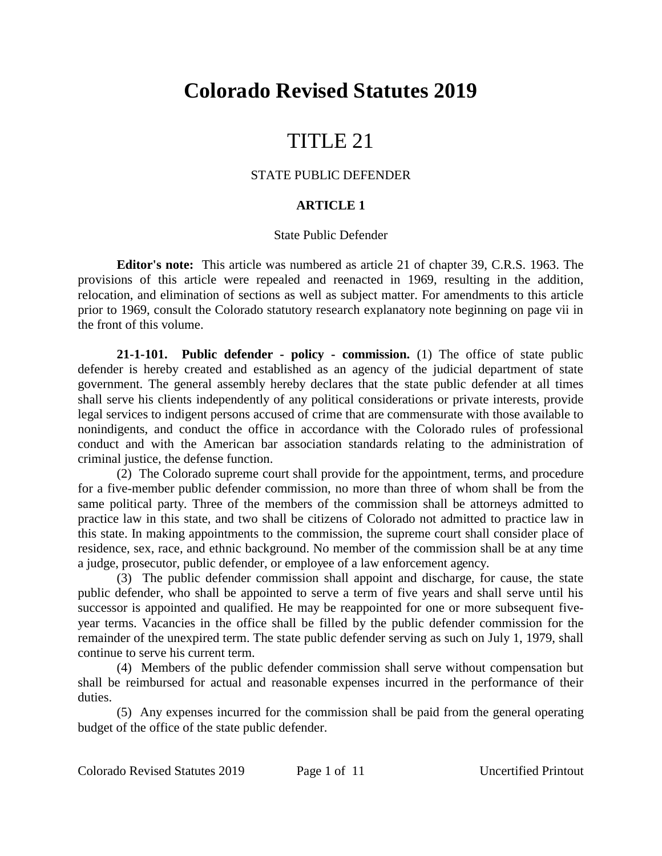# **Colorado Revised Statutes 2019**

## TITLE 21

#### STATE PUBLIC DEFENDER

### **ARTICLE 1**

#### State Public Defender

**Editor's note:** This article was numbered as article 21 of chapter 39, C.R.S. 1963. The provisions of this article were repealed and reenacted in 1969, resulting in the addition, relocation, and elimination of sections as well as subject matter. For amendments to this article prior to 1969, consult the Colorado statutory research explanatory note beginning on page vii in the front of this volume.

**21-1-101. Public defender - policy - commission.** (1) The office of state public defender is hereby created and established as an agency of the judicial department of state government. The general assembly hereby declares that the state public defender at all times shall serve his clients independently of any political considerations or private interests, provide legal services to indigent persons accused of crime that are commensurate with those available to nonindigents, and conduct the office in accordance with the Colorado rules of professional conduct and with the American bar association standards relating to the administration of criminal justice, the defense function.

(2) The Colorado supreme court shall provide for the appointment, terms, and procedure for a five-member public defender commission, no more than three of whom shall be from the same political party. Three of the members of the commission shall be attorneys admitted to practice law in this state, and two shall be citizens of Colorado not admitted to practice law in this state. In making appointments to the commission, the supreme court shall consider place of residence, sex, race, and ethnic background. No member of the commission shall be at any time a judge, prosecutor, public defender, or employee of a law enforcement agency.

(3) The public defender commission shall appoint and discharge, for cause, the state public defender, who shall be appointed to serve a term of five years and shall serve until his successor is appointed and qualified. He may be reappointed for one or more subsequent fiveyear terms. Vacancies in the office shall be filled by the public defender commission for the remainder of the unexpired term. The state public defender serving as such on July 1, 1979, shall continue to serve his current term.

(4) Members of the public defender commission shall serve without compensation but shall be reimbursed for actual and reasonable expenses incurred in the performance of their duties.

(5) Any expenses incurred for the commission shall be paid from the general operating budget of the office of the state public defender.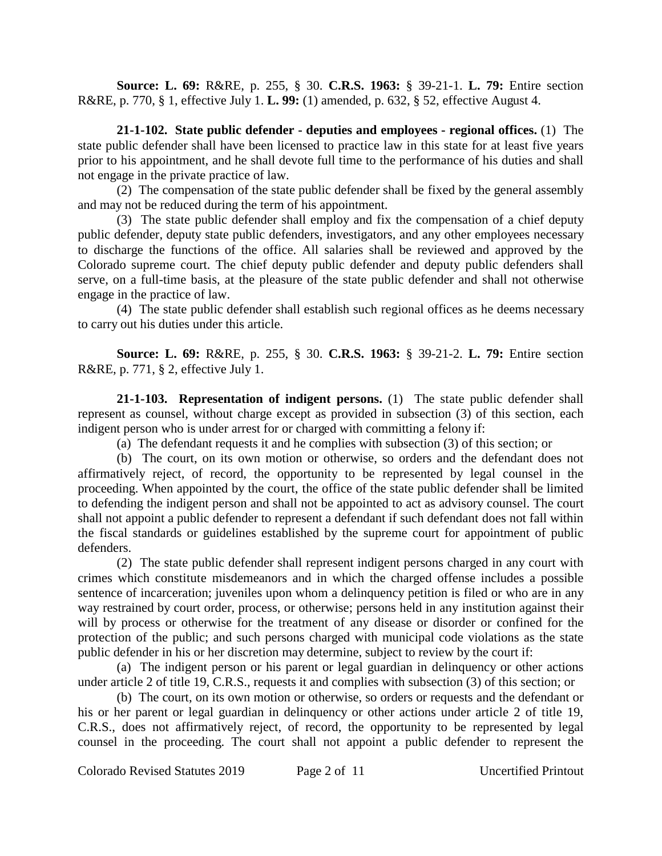**Source: L. 69:** R&RE, p. 255, § 30. **C.R.S. 1963:** § 39-21-1. **L. 79:** Entire section R&RE, p. 770, § 1, effective July 1. **L. 99:** (1) amended, p. 632, § 52, effective August 4.

**21-1-102. State public defender - deputies and employees - regional offices.** (1) The state public defender shall have been licensed to practice law in this state for at least five years prior to his appointment, and he shall devote full time to the performance of his duties and shall not engage in the private practice of law.

(2) The compensation of the state public defender shall be fixed by the general assembly and may not be reduced during the term of his appointment.

(3) The state public defender shall employ and fix the compensation of a chief deputy public defender, deputy state public defenders, investigators, and any other employees necessary to discharge the functions of the office. All salaries shall be reviewed and approved by the Colorado supreme court. The chief deputy public defender and deputy public defenders shall serve, on a full-time basis, at the pleasure of the state public defender and shall not otherwise engage in the practice of law.

(4) The state public defender shall establish such regional offices as he deems necessary to carry out his duties under this article.

**Source: L. 69:** R&RE, p. 255, § 30. **C.R.S. 1963:** § 39-21-2. **L. 79:** Entire section R&RE, p. 771, § 2, effective July 1.

**21-1-103. Representation of indigent persons.** (1) The state public defender shall represent as counsel, without charge except as provided in subsection (3) of this section, each indigent person who is under arrest for or charged with committing a felony if:

(a) The defendant requests it and he complies with subsection (3) of this section; or

(b) The court, on its own motion or otherwise, so orders and the defendant does not affirmatively reject, of record, the opportunity to be represented by legal counsel in the proceeding. When appointed by the court, the office of the state public defender shall be limited to defending the indigent person and shall not be appointed to act as advisory counsel. The court shall not appoint a public defender to represent a defendant if such defendant does not fall within the fiscal standards or guidelines established by the supreme court for appointment of public defenders.

(2) The state public defender shall represent indigent persons charged in any court with crimes which constitute misdemeanors and in which the charged offense includes a possible sentence of incarceration; juveniles upon whom a delinquency petition is filed or who are in any way restrained by court order, process, or otherwise; persons held in any institution against their will by process or otherwise for the treatment of any disease or disorder or confined for the protection of the public; and such persons charged with municipal code violations as the state public defender in his or her discretion may determine, subject to review by the court if:

(a) The indigent person or his parent or legal guardian in delinquency or other actions under article 2 of title 19, C.R.S., requests it and complies with subsection (3) of this section; or

(b) The court, on its own motion or otherwise, so orders or requests and the defendant or his or her parent or legal guardian in delinquency or other actions under article 2 of title 19, C.R.S., does not affirmatively reject, of record, the opportunity to be represented by legal counsel in the proceeding. The court shall not appoint a public defender to represent the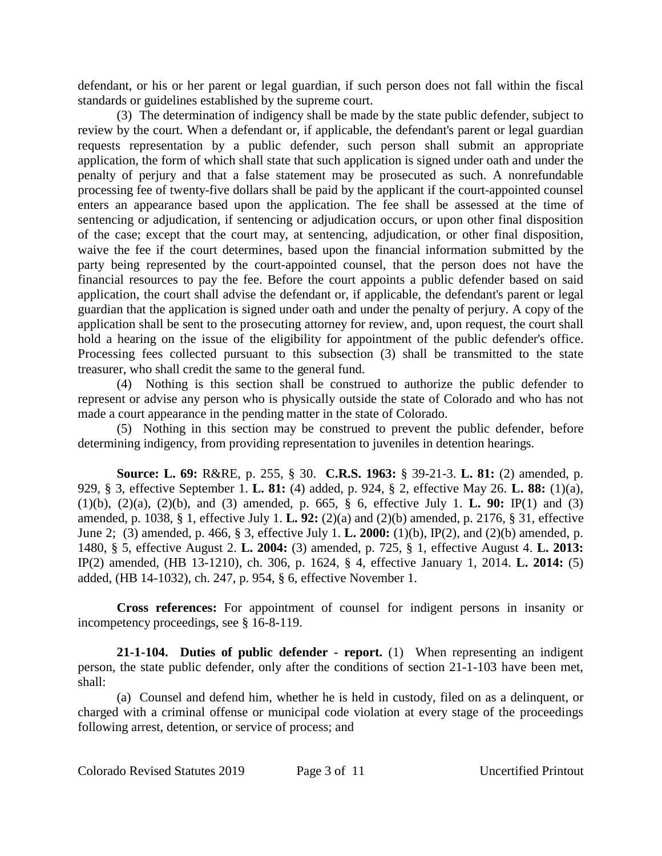defendant, or his or her parent or legal guardian, if such person does not fall within the fiscal standards or guidelines established by the supreme court.

(3) The determination of indigency shall be made by the state public defender, subject to review by the court. When a defendant or, if applicable, the defendant's parent or legal guardian requests representation by a public defender, such person shall submit an appropriate application, the form of which shall state that such application is signed under oath and under the penalty of perjury and that a false statement may be prosecuted as such. A nonrefundable processing fee of twenty-five dollars shall be paid by the applicant if the court-appointed counsel enters an appearance based upon the application. The fee shall be assessed at the time of sentencing or adjudication, if sentencing or adjudication occurs, or upon other final disposition of the case; except that the court may, at sentencing, adjudication, or other final disposition, waive the fee if the court determines, based upon the financial information submitted by the party being represented by the court-appointed counsel, that the person does not have the financial resources to pay the fee. Before the court appoints a public defender based on said application, the court shall advise the defendant or, if applicable, the defendant's parent or legal guardian that the application is signed under oath and under the penalty of perjury. A copy of the application shall be sent to the prosecuting attorney for review, and, upon request, the court shall hold a hearing on the issue of the eligibility for appointment of the public defender's office. Processing fees collected pursuant to this subsection (3) shall be transmitted to the state treasurer, who shall credit the same to the general fund.

(4) Nothing is this section shall be construed to authorize the public defender to represent or advise any person who is physically outside the state of Colorado and who has not made a court appearance in the pending matter in the state of Colorado.

(5) Nothing in this section may be construed to prevent the public defender, before determining indigency, from providing representation to juveniles in detention hearings.

**Source: L. 69:** R&RE, p. 255, § 30. **C.R.S. 1963:** § 39-21-3. **L. 81:** (2) amended, p. 929, § 3, effective September 1. **L. 81:** (4) added, p. 924, § 2, effective May 26. **L. 88:** (1)(a), (1)(b), (2)(a), (2)(b), and (3) amended, p. 665, § 6, effective July 1. **L. 90:** IP(1) and (3) amended, p. 1038, § 1, effective July 1. **L. 92:** (2)(a) and (2)(b) amended, p. 2176, § 31, effective June 2; (3) amended, p. 466, § 3, effective July 1. **L. 2000:** (1)(b), IP(2), and (2)(b) amended, p. 1480, § 5, effective August 2. **L. 2004:** (3) amended, p. 725, § 1, effective August 4. **L. 2013:** IP(2) amended, (HB 13-1210), ch. 306, p. 1624, § 4, effective January 1, 2014. **L. 2014:** (5) added, (HB 14-1032), ch. 247, p. 954, § 6, effective November 1.

**Cross references:** For appointment of counsel for indigent persons in insanity or incompetency proceedings, see § 16-8-119.

**21-1-104. Duties of public defender - report.** (1) When representing an indigent person, the state public defender, only after the conditions of section 21-1-103 have been met, shall:

(a) Counsel and defend him, whether he is held in custody, filed on as a delinquent, or charged with a criminal offense or municipal code violation at every stage of the proceedings following arrest, detention, or service of process; and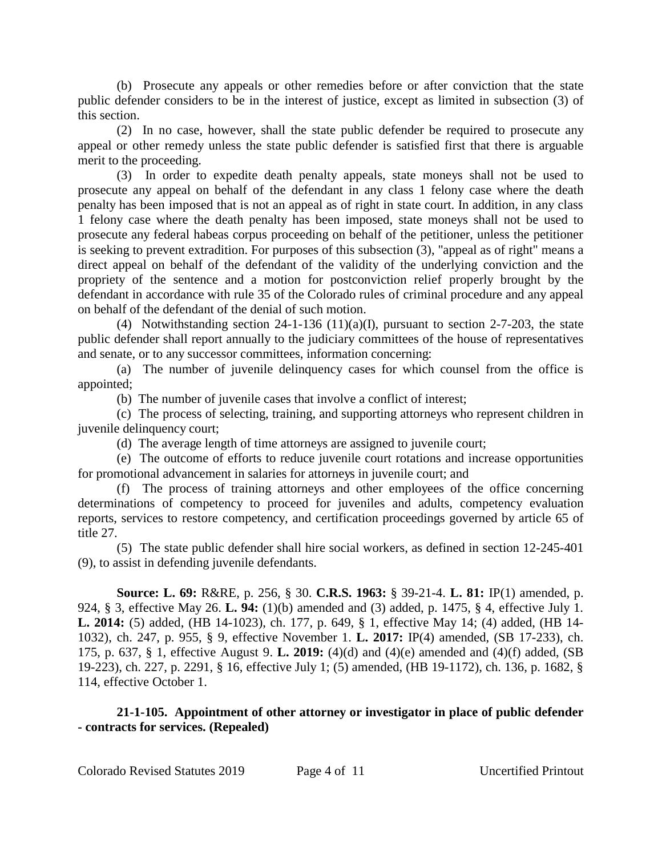(b) Prosecute any appeals or other remedies before or after conviction that the state public defender considers to be in the interest of justice, except as limited in subsection (3) of this section.

(2) In no case, however, shall the state public defender be required to prosecute any appeal or other remedy unless the state public defender is satisfied first that there is arguable merit to the proceeding.

(3) In order to expedite death penalty appeals, state moneys shall not be used to prosecute any appeal on behalf of the defendant in any class 1 felony case where the death penalty has been imposed that is not an appeal as of right in state court. In addition, in any class 1 felony case where the death penalty has been imposed, state moneys shall not be used to prosecute any federal habeas corpus proceeding on behalf of the petitioner, unless the petitioner is seeking to prevent extradition. For purposes of this subsection (3), "appeal as of right" means a direct appeal on behalf of the defendant of the validity of the underlying conviction and the propriety of the sentence and a motion for postconviction relief properly brought by the defendant in accordance with rule 35 of the Colorado rules of criminal procedure and any appeal on behalf of the defendant of the denial of such motion.

(4) Notwithstanding section  $24-1-136$  (11)(a)(I), pursuant to section 2-7-203, the state public defender shall report annually to the judiciary committees of the house of representatives and senate, or to any successor committees, information concerning:

(a) The number of juvenile delinquency cases for which counsel from the office is appointed;

(b) The number of juvenile cases that involve a conflict of interest;

(c) The process of selecting, training, and supporting attorneys who represent children in juvenile delinquency court;

(d) The average length of time attorneys are assigned to juvenile court;

(e) The outcome of efforts to reduce juvenile court rotations and increase opportunities for promotional advancement in salaries for attorneys in juvenile court; and

(f) The process of training attorneys and other employees of the office concerning determinations of competency to proceed for juveniles and adults, competency evaluation reports, services to restore competency, and certification proceedings governed by article 65 of title 27.

(5) The state public defender shall hire social workers, as defined in section 12-245-401 (9), to assist in defending juvenile defendants.

**Source: L. 69:** R&RE, p. 256, § 30. **C.R.S. 1963:** § 39-21-4. **L. 81:** IP(1) amended, p. 924, § 3, effective May 26. **L. 94:** (1)(b) amended and (3) added, p. 1475, § 4, effective July 1. **L. 2014:** (5) added, (HB 14-1023), ch. 177, p. 649, § 1, effective May 14; (4) added, (HB 14- 1032), ch. 247, p. 955, § 9, effective November 1. **L. 2017:** IP(4) amended, (SB 17-233), ch. 175, p. 637, § 1, effective August 9. **L. 2019:** (4)(d) and (4)(e) amended and (4)(f) added, (SB 19-223), ch. 227, p. 2291, § 16, effective July 1; (5) amended, (HB 19-1172), ch. 136, p. 1682, § 114, effective October 1.

### **21-1-105. Appointment of other attorney or investigator in place of public defender - contracts for services. (Repealed)**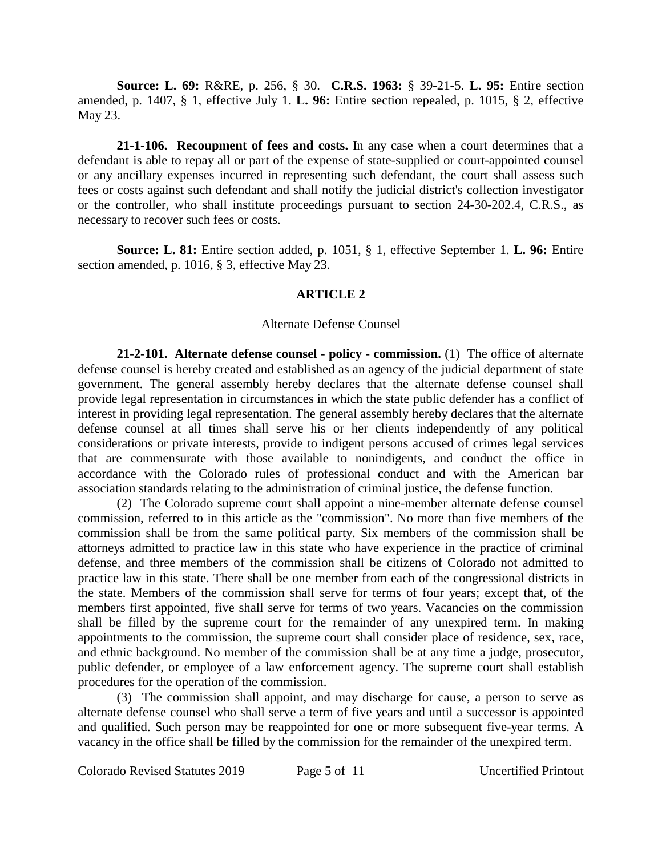**Source: L. 69:** R&RE, p. 256, § 30. **C.R.S. 1963:** § 39-21-5. **L. 95:** Entire section amended, p. 1407, § 1, effective July 1. **L. 96:** Entire section repealed, p. 1015, § 2, effective May 23.

**21-1-106. Recoupment of fees and costs.** In any case when a court determines that a defendant is able to repay all or part of the expense of state-supplied or court-appointed counsel or any ancillary expenses incurred in representing such defendant, the court shall assess such fees or costs against such defendant and shall notify the judicial district's collection investigator or the controller, who shall institute proceedings pursuant to section 24-30-202.4, C.R.S., as necessary to recover such fees or costs.

**Source: L. 81:** Entire section added, p. 1051, § 1, effective September 1. **L. 96:** Entire section amended, p. 1016, § 3, effective May 23.

#### **ARTICLE 2**

#### Alternate Defense Counsel

**21-2-101. Alternate defense counsel - policy - commission.** (1) The office of alternate defense counsel is hereby created and established as an agency of the judicial department of state government. The general assembly hereby declares that the alternate defense counsel shall provide legal representation in circumstances in which the state public defender has a conflict of interest in providing legal representation. The general assembly hereby declares that the alternate defense counsel at all times shall serve his or her clients independently of any political considerations or private interests, provide to indigent persons accused of crimes legal services that are commensurate with those available to nonindigents, and conduct the office in accordance with the Colorado rules of professional conduct and with the American bar association standards relating to the administration of criminal justice, the defense function.

(2) The Colorado supreme court shall appoint a nine-member alternate defense counsel commission, referred to in this article as the "commission". No more than five members of the commission shall be from the same political party. Six members of the commission shall be attorneys admitted to practice law in this state who have experience in the practice of criminal defense, and three members of the commission shall be citizens of Colorado not admitted to practice law in this state. There shall be one member from each of the congressional districts in the state. Members of the commission shall serve for terms of four years; except that, of the members first appointed, five shall serve for terms of two years. Vacancies on the commission shall be filled by the supreme court for the remainder of any unexpired term. In making appointments to the commission, the supreme court shall consider place of residence, sex, race, and ethnic background. No member of the commission shall be at any time a judge, prosecutor, public defender, or employee of a law enforcement agency. The supreme court shall establish procedures for the operation of the commission.

(3) The commission shall appoint, and may discharge for cause, a person to serve as alternate defense counsel who shall serve a term of five years and until a successor is appointed and qualified. Such person may be reappointed for one or more subsequent five-year terms. A vacancy in the office shall be filled by the commission for the remainder of the unexpired term.

Colorado Revised Statutes 2019 Page 5 of 11 Uncertified Printout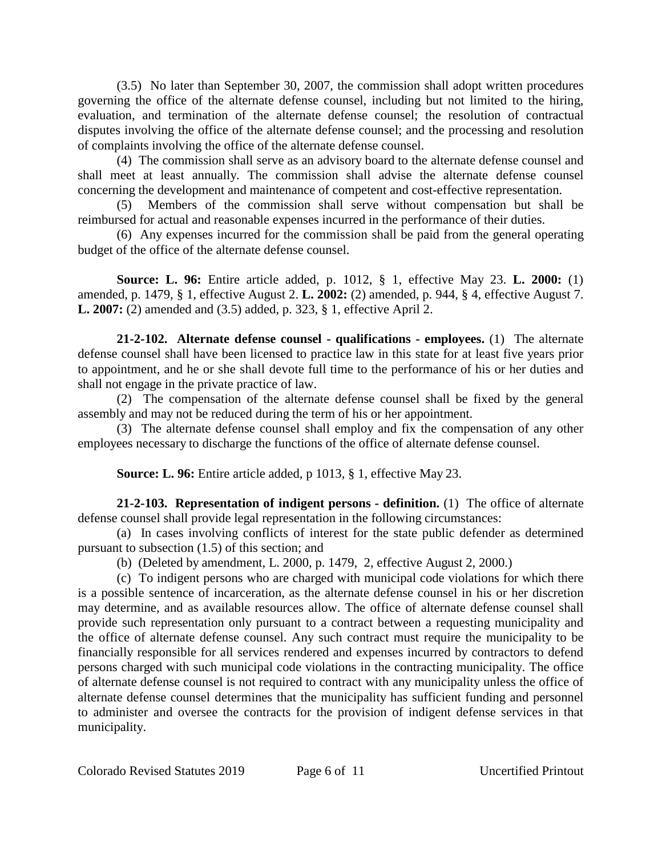(3.5) No later than September 30, 2007, the commission shall adopt written procedures governing the office of the alternate defense counsel, including but not limited to the hiring, evaluation, and termination of the alternate defense counsel; the resolution of contractual disputes involving the office of the alternate defense counsel; and the processing and resolution of complaints involving the office of the alternate defense counsel.

(4) The commission shall serve as an advisory board to the alternate defense counsel and shall meet at least annually. The commission shall advise the alternate defense counsel concerning the development and maintenance of competent and cost-effective representation.

(5) Members of the commission shall serve without compensation but shall be reimbursed for actual and reasonable expenses incurred in the performance of their duties.

(6) Any expenses incurred for the commission shall be paid from the general operating budget of the office of the alternate defense counsel.

**Source: L. 96:** Entire article added, p. 1012, § 1, effective May 23. **L. 2000:** (1) amended, p. 1479, § 1, effective August 2. **L. 2002:** (2) amended, p. 944, § 4, effective August 7. **L. 2007:** (2) amended and (3.5) added, p. 323, § 1, effective April 2.

**21-2-102. Alternate defense counsel - qualifications - employees.** (1) The alternate defense counsel shall have been licensed to practice law in this state for at least five years prior to appointment, and he or she shall devote full time to the performance of his or her duties and shall not engage in the private practice of law.

(2) The compensation of the alternate defense counsel shall be fixed by the general assembly and may not be reduced during the term of his or her appointment.

(3) The alternate defense counsel shall employ and fix the compensation of any other employees necessary to discharge the functions of the office of alternate defense counsel.

**Source: L. 96:** Entire article added, p 1013, § 1, effective May 23.

**21-2-103. Representation of indigent persons - definition.** (1) The office of alternate defense counsel shall provide legal representation in the following circumstances:

(a) In cases involving conflicts of interest for the state public defender as determined pursuant to subsection (1.5) of this section; and

(b) (Deleted by amendment, L. 2000, p. 1479, 2, effective August 2, 2000.)

(c) To indigent persons who are charged with municipal code violations for which there is a possible sentence of incarceration, as the alternate defense counsel in his or her discretion may determine, and as available resources allow. The office of alternate defense counsel shall provide such representation only pursuant to a contract between a requesting municipality and the office of alternate defense counsel. Any such contract must require the municipality to be financially responsible for all services rendered and expenses incurred by contractors to defend persons charged with such municipal code violations in the contracting municipality. The office of alternate defense counsel is not required to contract with any municipality unless the office of alternate defense counsel determines that the municipality has sufficient funding and personnel to administer and oversee the contracts for the provision of indigent defense services in that municipality.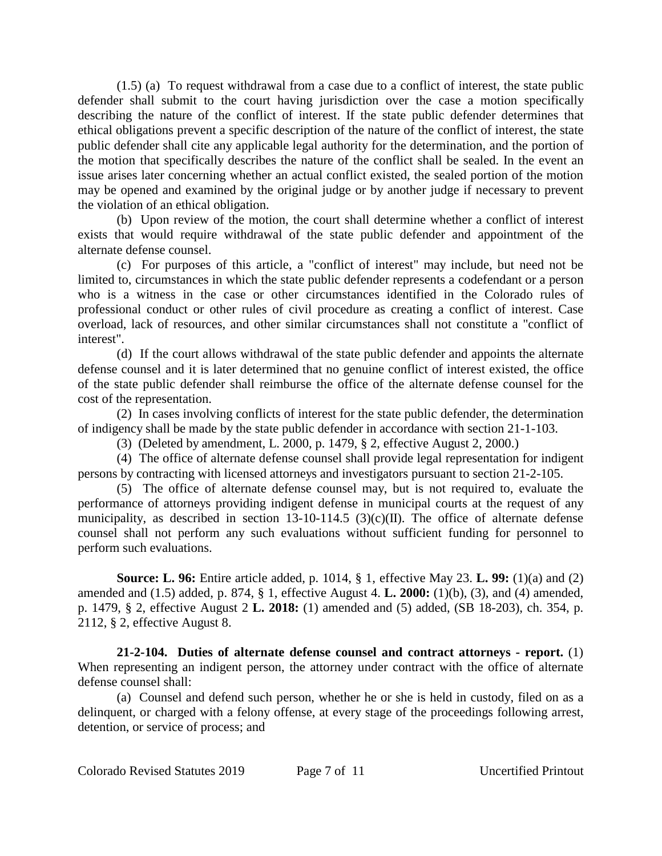(1.5) (a) To request withdrawal from a case due to a conflict of interest, the state public defender shall submit to the court having jurisdiction over the case a motion specifically describing the nature of the conflict of interest. If the state public defender determines that ethical obligations prevent a specific description of the nature of the conflict of interest, the state public defender shall cite any applicable legal authority for the determination, and the portion of the motion that specifically describes the nature of the conflict shall be sealed. In the event an issue arises later concerning whether an actual conflict existed, the sealed portion of the motion may be opened and examined by the original judge or by another judge if necessary to prevent the violation of an ethical obligation.

(b) Upon review of the motion, the court shall determine whether a conflict of interest exists that would require withdrawal of the state public defender and appointment of the alternate defense counsel.

(c) For purposes of this article, a "conflict of interest" may include, but need not be limited to, circumstances in which the state public defender represents a codefendant or a person who is a witness in the case or other circumstances identified in the Colorado rules of professional conduct or other rules of civil procedure as creating a conflict of interest. Case overload, lack of resources, and other similar circumstances shall not constitute a "conflict of interest".

(d) If the court allows withdrawal of the state public defender and appoints the alternate defense counsel and it is later determined that no genuine conflict of interest existed, the office of the state public defender shall reimburse the office of the alternate defense counsel for the cost of the representation.

(2) In cases involving conflicts of interest for the state public defender, the determination of indigency shall be made by the state public defender in accordance with section 21-1-103.

(3) (Deleted by amendment, L. 2000, p. 1479, § 2, effective August 2, 2000.)

(4) The office of alternate defense counsel shall provide legal representation for indigent persons by contracting with licensed attorneys and investigators pursuant to section 21-2-105.

(5) The office of alternate defense counsel may, but is not required to, evaluate the performance of attorneys providing indigent defense in municipal courts at the request of any municipality, as described in section  $13-10-114.5$  (3)(c)(II). The office of alternate defense counsel shall not perform any such evaluations without sufficient funding for personnel to perform such evaluations.

**Source: L. 96:** Entire article added, p. 1014, § 1, effective May 23. **L. 99:** (1)(a) and (2) amended and (1.5) added, p. 874, § 1, effective August 4. **L. 2000:** (1)(b), (3), and (4) amended, p. 1479, § 2, effective August 2 **L. 2018:** (1) amended and (5) added, (SB 18-203), ch. 354, p. 2112, § 2, effective August 8.

**21-2-104. Duties of alternate defense counsel and contract attorneys - report.** (1) When representing an indigent person, the attorney under contract with the office of alternate defense counsel shall:

(a) Counsel and defend such person, whether he or she is held in custody, filed on as a delinquent, or charged with a felony offense, at every stage of the proceedings following arrest, detention, or service of process; and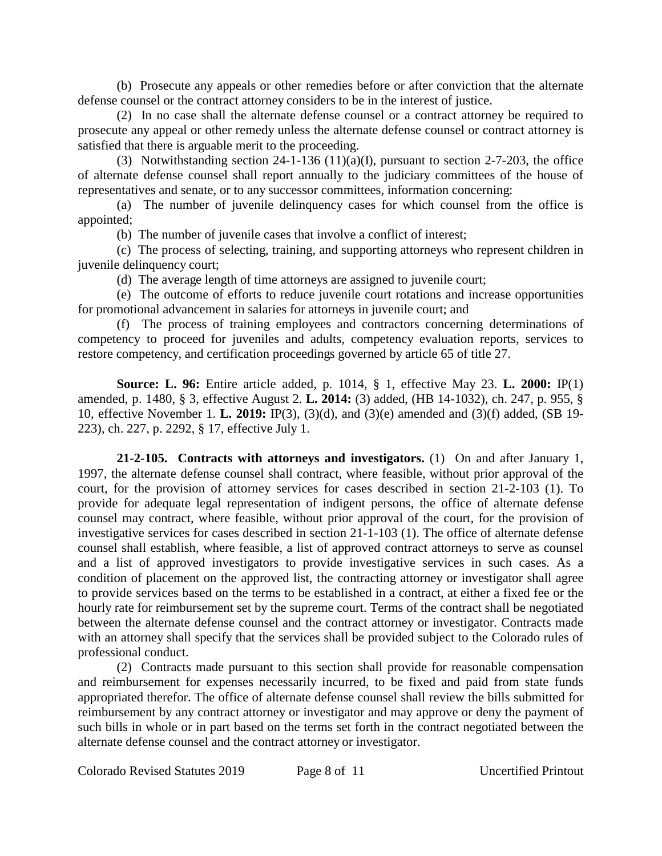(b) Prosecute any appeals or other remedies before or after conviction that the alternate defense counsel or the contract attorney considers to be in the interest of justice.

(2) In no case shall the alternate defense counsel or a contract attorney be required to prosecute any appeal or other remedy unless the alternate defense counsel or contract attorney is satisfied that there is arguable merit to the proceeding.

(3) Notwithstanding section 24-1-136 (11)(a)(I), pursuant to section 2-7-203, the office of alternate defense counsel shall report annually to the judiciary committees of the house of representatives and senate, or to any successor committees, information concerning:

(a) The number of juvenile delinquency cases for which counsel from the office is appointed;

(b) The number of juvenile cases that involve a conflict of interest;

(c) The process of selecting, training, and supporting attorneys who represent children in juvenile delinquency court;

(d) The average length of time attorneys are assigned to juvenile court;

(e) The outcome of efforts to reduce juvenile court rotations and increase opportunities for promotional advancement in salaries for attorneys in juvenile court; and

(f) The process of training employees and contractors concerning determinations of competency to proceed for juveniles and adults, competency evaluation reports, services to restore competency, and certification proceedings governed by article 65 of title 27.

**Source: L. 96:** Entire article added, p. 1014, § 1, effective May 23. **L. 2000:** IP(1) amended, p. 1480, § 3, effective August 2. **L. 2014:** (3) added, (HB 14-1032), ch. 247, p. 955, § 10, effective November 1. **L. 2019:** IP(3), (3)(d), and (3)(e) amended and (3)(f) added, (SB 19- 223), ch. 227, p. 2292, § 17, effective July 1.

**21-2-105. Contracts with attorneys and investigators.** (1) On and after January 1, 1997, the alternate defense counsel shall contract, where feasible, without prior approval of the court, for the provision of attorney services for cases described in section 21-2-103 (1). To provide for adequate legal representation of indigent persons, the office of alternate defense counsel may contract, where feasible, without prior approval of the court, for the provision of investigative services for cases described in section 21-1-103 (1). The office of alternate defense counsel shall establish, where feasible, a list of approved contract attorneys to serve as counsel and a list of approved investigators to provide investigative services in such cases. As a condition of placement on the approved list, the contracting attorney or investigator shall agree to provide services based on the terms to be established in a contract, at either a fixed fee or the hourly rate for reimbursement set by the supreme court. Terms of the contract shall be negotiated between the alternate defense counsel and the contract attorney or investigator. Contracts made with an attorney shall specify that the services shall be provided subject to the Colorado rules of professional conduct.

(2) Contracts made pursuant to this section shall provide for reasonable compensation and reimbursement for expenses necessarily incurred, to be fixed and paid from state funds appropriated therefor. The office of alternate defense counsel shall review the bills submitted for reimbursement by any contract attorney or investigator and may approve or deny the payment of such bills in whole or in part based on the terms set forth in the contract negotiated between the alternate defense counsel and the contract attorney or investigator.

Colorado Revised Statutes 2019 Page 8 of 11 Uncertified Printout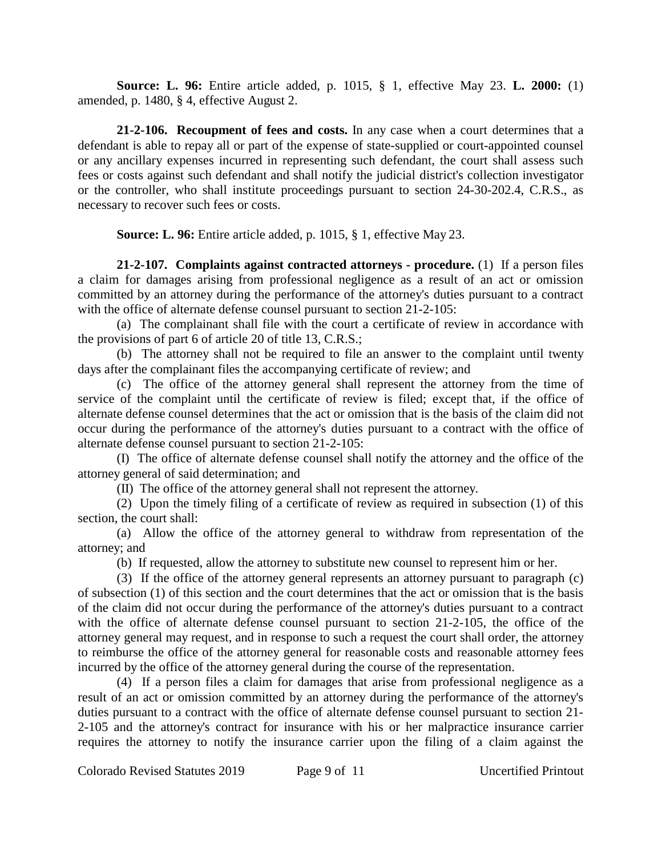**Source: L. 96:** Entire article added, p. 1015, § 1, effective May 23. **L. 2000:** (1) amended, p. 1480, § 4, effective August 2.

**21-2-106. Recoupment of fees and costs.** In any case when a court determines that a defendant is able to repay all or part of the expense of state-supplied or court-appointed counsel or any ancillary expenses incurred in representing such defendant, the court shall assess such fees or costs against such defendant and shall notify the judicial district's collection investigator or the controller, who shall institute proceedings pursuant to section 24-30-202.4, C.R.S., as necessary to recover such fees or costs.

**Source: L. 96:** Entire article added, p. 1015, § 1, effective May 23.

**21-2-107. Complaints against contracted attorneys - procedure.** (1) If a person files a claim for damages arising from professional negligence as a result of an act or omission committed by an attorney during the performance of the attorney's duties pursuant to a contract with the office of alternate defense counsel pursuant to section 21-2-105:

(a) The complainant shall file with the court a certificate of review in accordance with the provisions of part 6 of article 20 of title 13, C.R.S.;

(b) The attorney shall not be required to file an answer to the complaint until twenty days after the complainant files the accompanying certificate of review; and

(c) The office of the attorney general shall represent the attorney from the time of service of the complaint until the certificate of review is filed; except that, if the office of alternate defense counsel determines that the act or omission that is the basis of the claim did not occur during the performance of the attorney's duties pursuant to a contract with the office of alternate defense counsel pursuant to section 21-2-105:

(I) The office of alternate defense counsel shall notify the attorney and the office of the attorney general of said determination; and

(II) The office of the attorney general shall not represent the attorney.

(2) Upon the timely filing of a certificate of review as required in subsection (1) of this section, the court shall:

(a) Allow the office of the attorney general to withdraw from representation of the attorney; and

(b) If requested, allow the attorney to substitute new counsel to represent him or her.

(3) If the office of the attorney general represents an attorney pursuant to paragraph (c) of subsection (1) of this section and the court determines that the act or omission that is the basis of the claim did not occur during the performance of the attorney's duties pursuant to a contract with the office of alternate defense counsel pursuant to section 21-2-105, the office of the attorney general may request, and in response to such a request the court shall order, the attorney to reimburse the office of the attorney general for reasonable costs and reasonable attorney fees incurred by the office of the attorney general during the course of the representation.

(4) If a person files a claim for damages that arise from professional negligence as a result of an act or omission committed by an attorney during the performance of the attorney's duties pursuant to a contract with the office of alternate defense counsel pursuant to section 21- 2-105 and the attorney's contract for insurance with his or her malpractice insurance carrier requires the attorney to notify the insurance carrier upon the filing of a claim against the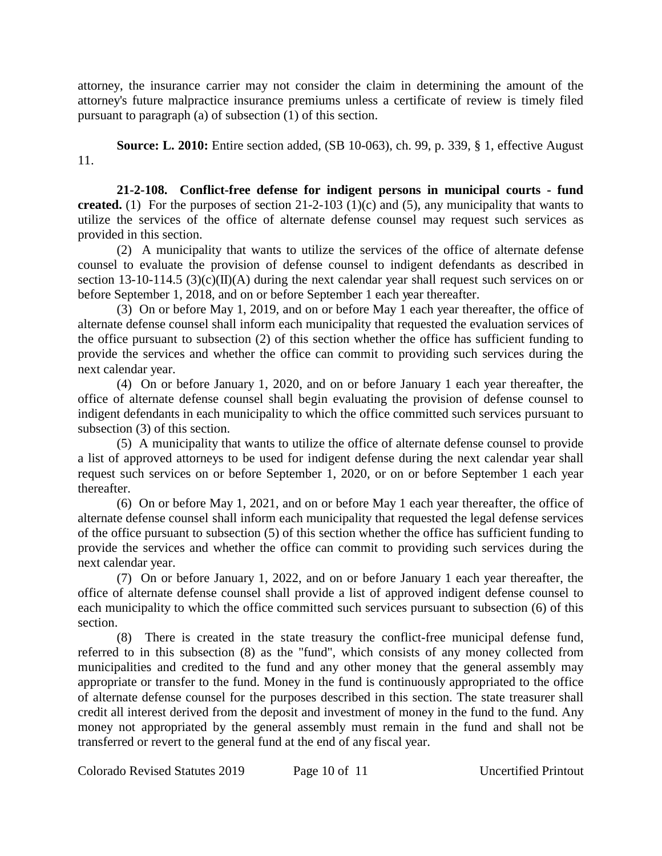attorney, the insurance carrier may not consider the claim in determining the amount of the attorney's future malpractice insurance premiums unless a certificate of review is timely filed pursuant to paragraph (a) of subsection (1) of this section.

**Source: L. 2010:** Entire section added, (SB 10-063), ch. 99, p. 339, § 1, effective August 11.

**21-2-108. Conflict-free defense for indigent persons in municipal courts - fund created.** (1) For the purposes of section 21-2-103 (1)(c) and (5), any municipality that wants to utilize the services of the office of alternate defense counsel may request such services as provided in this section.

(2) A municipality that wants to utilize the services of the office of alternate defense counsel to evaluate the provision of defense counsel to indigent defendants as described in section 13-10-114.5 (3)(c)( $\Pi$ )(A) during the next calendar year shall request such services on or before September 1, 2018, and on or before September 1 each year thereafter.

(3) On or before May 1, 2019, and on or before May 1 each year thereafter, the office of alternate defense counsel shall inform each municipality that requested the evaluation services of the office pursuant to subsection (2) of this section whether the office has sufficient funding to provide the services and whether the office can commit to providing such services during the next calendar year.

(4) On or before January 1, 2020, and on or before January 1 each year thereafter, the office of alternate defense counsel shall begin evaluating the provision of defense counsel to indigent defendants in each municipality to which the office committed such services pursuant to subsection (3) of this section.

(5) A municipality that wants to utilize the office of alternate defense counsel to provide a list of approved attorneys to be used for indigent defense during the next calendar year shall request such services on or before September 1, 2020, or on or before September 1 each year thereafter.

(6) On or before May 1, 2021, and on or before May 1 each year thereafter, the office of alternate defense counsel shall inform each municipality that requested the legal defense services of the office pursuant to subsection (5) of this section whether the office has sufficient funding to provide the services and whether the office can commit to providing such services during the next calendar year.

(7) On or before January 1, 2022, and on or before January 1 each year thereafter, the office of alternate defense counsel shall provide a list of approved indigent defense counsel to each municipality to which the office committed such services pursuant to subsection (6) of this section.

(8) There is created in the state treasury the conflict-free municipal defense fund, referred to in this subsection (8) as the "fund", which consists of any money collected from municipalities and credited to the fund and any other money that the general assembly may appropriate or transfer to the fund. Money in the fund is continuously appropriated to the office of alternate defense counsel for the purposes described in this section. The state treasurer shall credit all interest derived from the deposit and investment of money in the fund to the fund. Any money not appropriated by the general assembly must remain in the fund and shall not be transferred or revert to the general fund at the end of any fiscal year.

Colorado Revised Statutes 2019 Page 10 of 11 Uncertified Printout